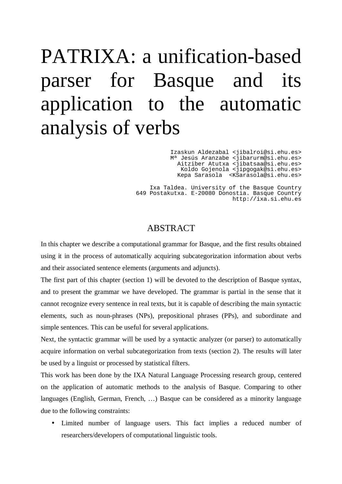# PATRIXA: a unification-based parser for Basque and its application to the automatic analysis of verbs

Izaskun Aldezabal <jibalroi@si.ehu.es> Mª Jesús Aranzabe <jibarurm@si.ehu.es> Aitziber Atutxa <jibatsaa@si.ehu.es> Koldo Gojenola <jipgogak@si.ehu.es> Kepa Sarasola <KSarasola@si.ehu.es>

Ixa Taldea. University of the Basque Country 649 Postakutxa. E-20080 Donostia. Basque Country http://ixa.si.ehu.es

## ABSTRACT

In this chapter we describe a computational grammar for Basque, and the first results obtained using it in the process of automatically acquiring subcategorization information about verbs and their associated sentence elements (arguments and adjuncts).

The first part of this chapter (section 1) will be devoted to the description of Basque syntax, and to present the grammar we have developed. The grammar is partial in the sense that it cannot recognize every sentence in real texts, but it is capable of describing the main syntactic elements, such as noun-phrases (NPs), prepositional phrases (PPs), and subordinate and simple sentences. This can be useful for several applications.

Next, the syntactic grammar will be used by a syntactic analyzer (or parser) to automatically acquire information on verbal subcategorization from texts (section 2). The results will later be used by a linguist or processed by statistical filters.

This work has been done by the IXA Natural Language Processing research group, centered on the application of automatic methods to the analysis of Basque. Comparing to other languages (English, German, French, …) Basque can be considered as a minority language due to the following constraints:

• Limited number of language users. This fact implies a reduced number of researchers/developers of computational linguistic tools.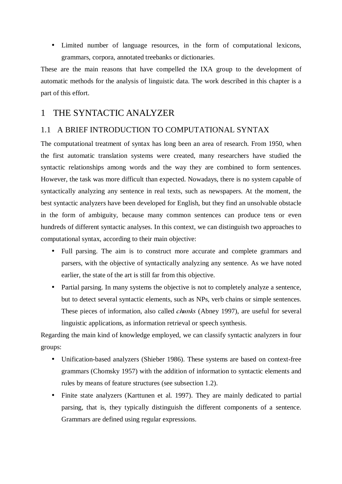• Limited number of language resources, in the form of computational lexicons, grammars, corpora, annotated treebanks or dictionaries.

These are the main reasons that have compelled the IXA group to the development of automatic methods for the analysis of linguistic data. The work described in this chapter is a part of this effort.

# 1 THE SYNTACTIC ANALYZER

## 1.1 A BRIEF INTRODUCTION TO COMPUTATIONAL SYNTAX

The computational treatment of syntax has long been an area of research. From 1950, when the first automatic translation systems were created, many researchers have studied the syntactic relationships among words and the way they are combined to form sentences. However, the task was more difficult than expected. Nowadays, there is no system capable of syntactically analyzing any sentence in real texts, such as newspapers. At the moment, the best syntactic analyzers have been developed for English, but they find an unsolvable obstacle in the form of ambiguity, because many common sentences can produce tens or even hundreds of different syntactic analyses. In this context, we can distinguish two approaches to computational syntax, according to their main objective:

- Full parsing. The aim is to construct more accurate and complete grammars and parsers, with the objective of syntactically analyzing any sentence. As we have noted earlier, the state of the art is still far from this objective.
- Partial parsing. In many systems the objective is not to completely analyze a sentence, but to detect several syntactic elements, such as NPs, verb chains or simple sentences. These pieces of information, also called *chunks* (Abney 1997), are useful for several linguistic applications, as information retrieval or speech synthesis.

Regarding the main kind of knowledge employed, we can classify syntactic analyzers in four groups:

- Unification-based analyzers (Shieber 1986). These systems are based on context-free grammars (Chomsky 1957) with the addition of information to syntactic elements and rules by means of feature structures (see subsection 1.2).
- Finite state analyzers (Karttunen et al. 1997). They are mainly dedicated to partial parsing, that is, they typically distinguish the different components of a sentence. Grammars are defined using regular expressions.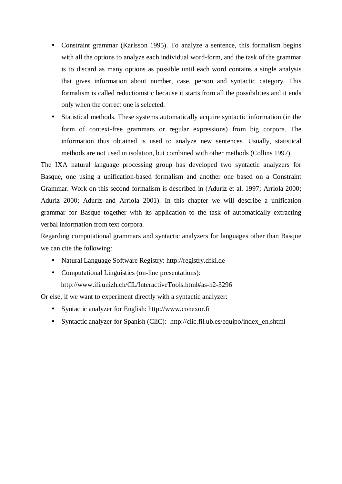- Constraint grammar (Karlsson 1995). To analyze a sentence, this formalism begins with all the options to analyze each individual word-form, and the task of the grammar is to discard as many options as possible until each word contains a single analysis that gives information about number, case, person and syntactic category. This formalism is called reductionistic because it starts from all the possibilities and it ends only when the correct one is selected.
- Statistical methods. These systems automatically acquire syntactic information (in the form of context-free grammars or regular expressions) from big corpora. The information thus obtained is used to analyze new sentences. Usually, statistical methods are not used in isolation, but combined with other methods (Collins 1997).

The IXA natural language processing group has developed two syntactic analyzers for Basque, one using a unification-based formalism and another one based on a Constraint Grammar. Work on this second formalism is described in (Aduriz et al. 1997; Arriola 2000; Aduriz 2000; Aduriz and Arriola 2001). In this chapter we will describe a unification grammar for Basque together with its application to the task of automatically extracting verbal information from text corpora.

Regarding computational grammars and syntactic analyzers for languages other than Basque we can cite the following:

- Natural Language Software Registry: http://registry.dfki.de
- Computational Linguistics (on-line presentations): http://www.ifi.unizh.ch/CL/InteractiveTools.html#as-h2-3296

Or else, if we want to experiment directly with a syntactic analyzer:

- Syntactic analyzer for English: http://www.conexor.fi
- Syntactic analyzer for Spanish (CliC): http://clic.fil.ub.es/equipo/index\_en.shtml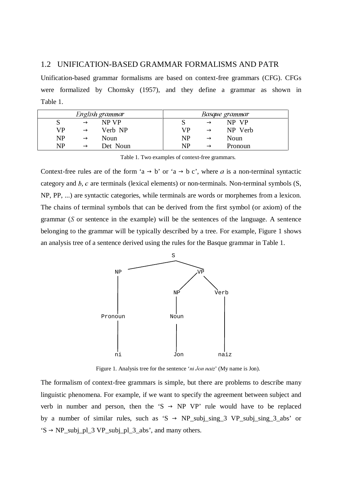#### 1.2 UNIFICATION-BASED GRAMMAR FORMALISMS AND PATR

Unification-based grammar formalisms are based on context-free grammars (CFG). CFGs were formalized by Chomsky (1957), and they define a grammar as shown in Table 1.

|           |               | English grammar | Basque grammar |               |         |  |  |  |
|-----------|---------------|-----------------|----------------|---------------|---------|--|--|--|
|           | $\rightarrow$ | NP VP           |                | $\rightarrow$ | NP VP   |  |  |  |
| VP        | $\rightarrow$ | Verb NP         | VP             | $\rightarrow$ | NP Verb |  |  |  |
| <b>NP</b> | $\rightarrow$ | Noun            | <b>NP</b>      | $\rightarrow$ | Noun    |  |  |  |
| <b>NP</b> | $\rightarrow$ | Det Noun        | NP             | $\rightarrow$ | Pronoun |  |  |  |

Table 1. Two examples of context-free grammars.

Context-free rules are of the form 'a  $\rightarrow$  b' or 'a  $\rightarrow$  b c', where a is a non-terminal syntactic category and  $b$ ,  $c$  are terminals (lexical elements) or non-terminals. Non-terminal symbols  $(S,$ NP, PP, ...) are syntactic categories, while terminals are words or morphemes from a lexicon. The chains of terminal symbols that can be derived from the first symbol (or axiom) of the grammar  $(S$  or sentence in the example) will be the sentences of the language. A sentence belonging to the grammar will be typically described by a tree. For example, Figure 1 shows an analysis tree of a sentence derived using the rules for the Basque grammar in Table 1.



Figure 1. Analysis tree for the sentence 'ni Jon naiz' (My name is Jon).

The formalism of context-free grammars is simple, but there are problems to describe many linguistic phenomena. For example, if we want to specify the agreement between subject and verb in number and person, then the 'S  $\rightarrow$  NP VP' rule would have to be replaced by a number of similar rules, such as 'S  $\rightarrow$  NP\_subj\_sing\_3 VP\_subj\_sing\_3\_abs' or  $'S \rightarrow NP\_subj\_pl\_3 VP\_subj\_pl\_3\_abs$ , and many others.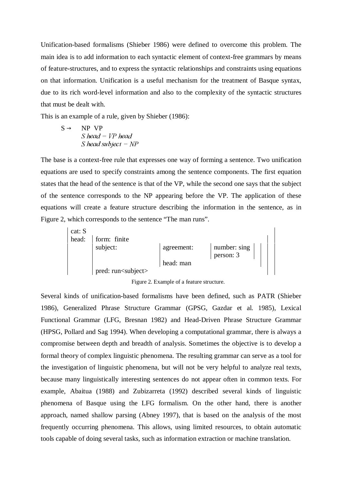Unification-based formalisms (Shieber 1986) were defined to overcome this problem. The main idea is to add information to each syntactic element of context-free grammars by means of feature-structures, and to express the syntactic relationships and constraints using equations on that information. Unification is a useful mechanism for the treatment of Basque syntax, due to its rich word-level information and also to the complexity of the syntactic structures that must be dealt with.

This is an example of a rule, given by Shieber (1986):

 $S \rightarrow NP VP$  $S$  head =  $VP$  head S head subject =  $NP$ 

The base is a context-free rule that expresses one way of forming a sentence. Two unification equations are used to specify constraints among the sentence components. The first equation states that the head of the sentence is that of the VP, while the second one says that the subject of the sentence corresponds to the NP appearing before the VP. The application of these equations will create a feature structure describing the information in the sentence, as in Figure 2, which corresponds to the sentence "The man runs".



Figure 2. Example of a feature structure.

Several kinds of unification-based formalisms have been defined, such as PATR (Shieber 1986), Generalized Phrase Structure Grammar (GPSG, Gazdar et al. 1985), Lexical Functional Grammar (LFG, Bresnan 1982) and Head-Driven Phrase Structure Grammar (HPSG, Pollard and Sag 1994). When developing a computational grammar, there is always a compromise between depth and breadth of analysis. Sometimes the objective is to develop a formal theory of complex linguistic phenomena. The resulting grammar can serve as a tool for the investigation of linguistic phenomena, but will not be very helpful to analyze real texts, because many linguistically interesting sentences do not appear often in common texts. For example, Abaitua (1988) and Zubizarreta (1992) described several kinds of linguistic phenomena of Basque using the LFG formalism. On the other hand, there is another approach, named shallow parsing (Abney 1997), that is based on the analysis of the most frequently occurring phenomena. This allows, using limited resources, to obtain automatic tools capable of doing several tasks, such as information extraction or machine translation.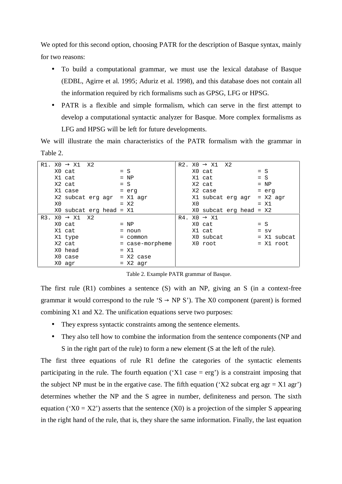We opted for this second option, choosing PATR for the description of Basque syntax, mainly for two reasons:

- To build a computational grammar, we must use the lexical database of Basque (EDBL, Agirre et al. 1995; Aduriz et al. 1998), and this database does not contain all the information required by rich formalisms such as GPSG, LFG or HPSG.
- PATR is a flexible and simple formalism, which can serve in the first attempt to develop a computational syntactic analyzer for Basque. More complex formalisms as LFG and HPSG will be left for future developments.

We will illustrate the main characteristics of the PATR formalism with the grammar in Table 2.

| R1. |    | $X0 \rightarrow X1 X2$  |  |                 |    | R2. $X0 \rightarrow X1$ X2  |  |          |             |
|-----|----|-------------------------|--|-----------------|----|-----------------------------|--|----------|-------------|
|     |    | X0 cat                  |  | $= S$           |    | X0 cat                      |  | $= S$    |             |
|     |    | X1 cat                  |  | $= NP$          |    | X1 cat                      |  | $= S$    |             |
|     |    | X2 cat                  |  | $= S$           |    | X2 cat                      |  | $= NP$   |             |
|     |    | X1 case                 |  | = erg           |    | X2 case                     |  | = erg    |             |
|     |    | X2 subcat erg agr       |  | $= X1$ agr      |    | X1 subcat erg agr           |  |          | $= X2$ agr  |
|     | X0 |                         |  | $= X2$          | X0 |                             |  | $= X1$   |             |
|     |    | X0 subcat erg head = X1 |  |                 |    | $X0$ subcat erg head = $X2$ |  |          |             |
| R3. |    | $X0 \rightarrow X1 X2$  |  |                 |    | $R4. X0 \rightarrow X1$     |  |          |             |
|     |    | X0 cat                  |  | $= NP$          |    | XO cat                      |  | $= S$    |             |
|     |    | X1 cat                  |  | = noun          |    | X1 cat                      |  | $=$ $SV$ |             |
|     |    | X1 type                 |  | $=$ common      |    | X0 subcat                   |  |          | = X1 subcat |
|     |    | X2 cat                  |  | = case-morpheme |    | X0 root                     |  |          | $= X1$ root |
|     |    | X0 head                 |  | $= \times 1$    |    |                             |  |          |             |
|     |    | X0 case                 |  | $= X2$ case     |    |                             |  |          |             |
|     |    | X0 agr                  |  | $= X2$ agr      |    |                             |  |          |             |

Table 2. Example PATR grammar of Basque.

The first rule (R1) combines a sentence (S) with an NP, giving an S (in a context-free grammar it would correspond to the rule 'S  $\rightarrow$  NP S'). The X0 component (parent) is formed combining X1 and X2. The unification equations serve two purposes:

- They express syntactic constraints among the sentence elements.
- They also tell how to combine the information from the sentence components (NP and S in the right part of the rule) to form a new element (S at the left of the rule).

The first three equations of rule R1 define the categories of the syntactic elements participating in the rule. The fourth equation ( $X1$  case = erg') is a constraint imposing that the subject NP must be in the ergative case. The fifth equation ('X2 subcat erg agr = X1 agr') determines whether the NP and the S agree in number, definiteness and person. The sixth equation ( $X0 = X2'$ ) asserts that the sentence (X0) is a projection of the simpler S appearing in the right hand of the rule, that is, they share the same information. Finally, the last equation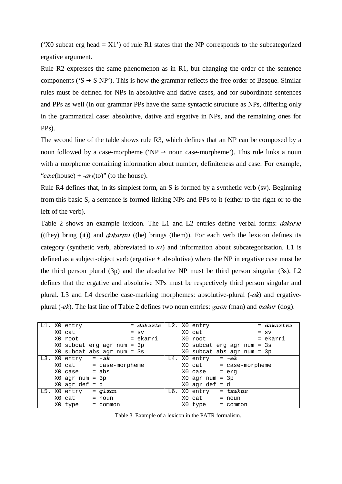('X0 subcat erg head  $= X1'$ ) of rule R1 states that the NP corresponds to the subcategorized ergative argument.

Rule R2 expresses the same phenomenon as in R1, but changing the order of the sentence components ( $S \rightarrow S \ NP$ ). This is how the grammar reflects the free order of Basque. Similar rules must be defined for NPs in absolutive and dative cases, and for subordinate sentences and PPs as well (in our grammar PPs have the same syntactic structure as NPs, differing only in the grammatical case: absolutive, dative and ergative in NPs, and the remaining ones for PPs).

The second line of the table shows rule R3, which defines that an NP can be composed by a noun followed by a case-morpheme ('NP  $\rightarrow$  noun case-morpheme'). This rule links a noun with a morpheme containing information about number, definiteness and case. For example, "etxe(house) + -ari(to)" (to the house).

Rule R4 defines that, in its simplest form, an S is formed by a synthetic verb (sv). Beginning from this basic S, a sentence is formed linking NPs and PPs to it (either to the right or to the left of the verb).

Table 2 shows an example lexicon. The L1 and L2 entries define verbal forms: *dakarte* ((they) bring (it)) and *dakartza* ((he) brings (them)). For each verb the lexicon defines its category (synthetic verb, abbreviated to  $s\nu$ ) and information about subcategorization. L1 is defined as a subject-object verb (ergative + absolutive) where the NP in ergative case must be the third person plural (3p) and the absolutive NP must be third person singular (3s). L2 defines that the ergative and absolutive NPs must be respectively third person singular and plural. L3 and L4 describe case-marking morphemes: absolutive-plural  $(-ak)$  and ergativeplural (-ek). The last line of Table 2 defines two noun entries:  $gizon$  (man) and txakur (dog).

|  | L1. X0 entry                    |           |  | = dakarte |  | L2. X0 entry               |            |  | $=$ dakartza |
|--|---------------------------------|-----------|--|-----------|--|----------------------------|------------|--|--------------|
|  | X0 cat                          |           |  | $=$ $sv$  |  | X0 cat                     |            |  | $=$ $sv$     |
|  | X0 root                         |           |  | = ekarri  |  | X0 root                    |            |  | = ekarri     |
|  | X0 subcat erg agr num = 3p      |           |  |           |  | X0 subcat erg agr num = 3s |            |  |              |
|  | X0 subcat abs agr num = 3s      |           |  |           |  | X0 subcat abs agr num = 3p |            |  |              |
|  | L3. X0 entry                    | $= -ak$   |  |           |  | L4. X0 entry               | $= -ek$    |  |              |
|  | $X0$ cat = case-morpheme        |           |  |           |  | $X0$ cat = case-morpheme   |            |  |              |
|  | $X0 \text{ case } = \text{abs}$ |           |  |           |  | XO case                    | = erg      |  |              |
|  | $X0$ agr num = $3p$             |           |  |           |  | $X0$ agr num = $3p$        |            |  |              |
|  | $X0$ agr def = d                |           |  |           |  | $X0$ agr def = d           |            |  |              |
|  | L5. X0 entry                    | $= gizon$ |  |           |  | L6. X0 entry               | $=$ txakur |  |              |
|  | $X0 \text{ cat} = \text{noun}$  |           |  |           |  | X0 cat                     | $=$ noun   |  |              |
|  | X0 type = common                |           |  |           |  | X0 type                    | = common   |  |              |

Table 3. Example of a lexicon in the PATR formalism.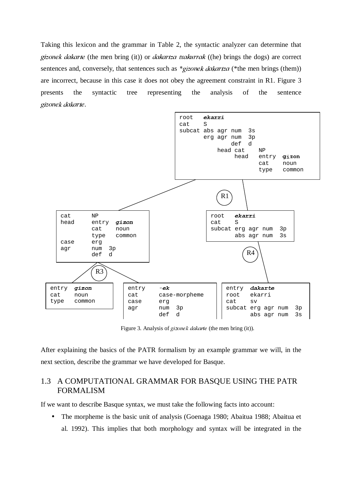Taking this lexicon and the grammar in Table 2, the syntactic analyzer can determine that gizonek dakarte (the men bring (it)) or dakartza txakurrak ((he) brings the dogs) are correct sentences and, conversely, that sentences such as  $*gizonek dakartz$  (\*the men brings (them)) are incorrect, because in this case it does not obey the agreement constraint in R1. Figure 3 presents the syntactic tree representing the analysis of the sentence gizonek dakarte.



Figure 3. Analysis of gizonek dakarte (the men bring (it)).

After explaining the basics of the PATR formalism by an example grammar we will, in the next section, describe the grammar we have developed for Basque.

### 1.3 A COMPUTATIONAL GRAMMAR FOR BASQUE USING THE PATR FORMALISM

If we want to describe Basque syntax, we must take the following facts into account:

• The morpheme is the basic unit of analysis (Goenaga 1980; Abaitua 1988; Abaitua et al. 1992). This implies that both morphology and syntax will be integrated in the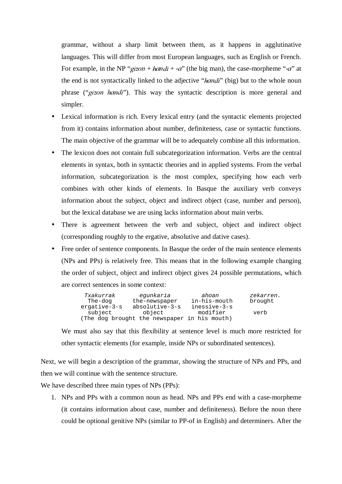grammar, without a sharp limit between them, as it happens in agglutinative languages. This will differ from most European languages, such as English or French. For example, in the NP "gizon + handi + -a" (the big man), the case-morpheme "-a" at the end is not syntactically linked to the adjective "*handi*" (big) but to the whole noun phrase ("gizon handi"). This way the syntactic description is more general and simpler.

- Lexical information is rich. Every lexical entry (and the syntactic elements projected from it) contains information about number, definiteness, case or syntactic functions. The main objective of the grammar will be to adequately combine all this information.
- The lexicon does not contain full subcategorization information. Verbs are the central elements in syntax, both in syntactic theories and in applied systems. From the verbal information, subcategorization is the most complex, specifying how each verb combines with other kinds of elements. In Basque the auxiliary verb conveys information about the subject, object and indirect object (case, number and person), but the lexical database we are using lacks information about main verbs.
- There is agreement between the verb and subject, object and indirect object (corresponding roughly to the ergative, absolutive and dative cases).
- Free order of sentence components. In Basque the order of the main sentence elements (NPs and PPs) is relatively free. This means that in the following example changing the order of subject, object and indirect object gives 24 possible permutations, which are correct sentences in some context:

| Txakurrak    | equnkaria                                    | ahoan        | zekarren. |
|--------------|----------------------------------------------|--------------|-----------|
| The-dog      | the-newspaper                                | in-his-mouth | brought   |
| ergative-3-s | absolutive-3-s                               | inessive-3-s |           |
| subject      | object                                       | modifier     | verb      |
|              | (The dog brought the newspaper in his mouth) |              |           |

We must also say that this flexibility at sentence level is much more restricted for other syntactic elements (for example, inside NPs or subordinated sentences).

Next, we will begin a description of the grammar, showing the structure of NPs and PPs, and then we will continue with the sentence structure.

We have described three main types of NPs (PPs):

1. NPs and PPs with a common noun as head. NPs and PPs end with a case-morpheme (it contains information about case, number and definiteness). Before the noun there could be optional genitive NPs (similar to PP-of in English) and determiners. After the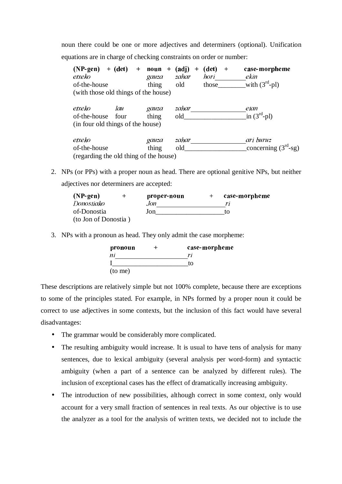noun there could be one or more adjectives and determiners (optional). Unification equations are in charge of checking constraints on order or number:

| $(NP$ -gen $)$<br>etxeko<br>of-the-house<br>(with those old things of the house) | $+$ (det)   | $+$<br>$+$<br>noun<br>gauza<br>thing | (adi)<br>$\div$<br>zahar<br>old | (det)<br>$\div$<br>hori<br>those | case-morpheme<br>ekin<br>with $(3rd-pl)$ |
|----------------------------------------------------------------------------------|-------------|--------------------------------------|---------------------------------|----------------------------------|------------------------------------------|
| etxeko<br>of-the-house<br>(in four old things of the house)                      | lau<br>four | gauza<br>thing                       | zahar<br>old                    |                                  | etan<br>in $(3rd-pl)$                    |
| etxeko<br>of-the-house<br>(regarding the old thing of the house)                 |             | gauza<br>thing                       | zahar<br>old                    |                                  | ari buruz<br>concerning $(3rd-sg)$       |

2. NPs (or PPs) with a proper noun as head. There are optional genitive NPs, but neither adjectives nor determiners are accepted:

| $(NP$ -gen $)$       | + | proper-noun | $\div$ | case-morpheme |
|----------------------|---|-------------|--------|---------------|
| Donostiako           |   | Jon-        |        | r1            |
| of-Donostia          |   | Jon         |        | īΩ            |
| (to Jon of Donostia) |   |             |        |               |

3. NPs with a pronoun as head. They only admit the case morpheme:



These descriptions are relatively simple but not 100% complete, because there are exceptions to some of the principles stated. For example, in NPs formed by a proper noun it could be correct to use adjectives in some contexts, but the inclusion of this fact would have several disadvantages:

- The grammar would be considerably more complicated.
- The resulting ambiguity would increase. It is usual to have tens of analysis for many sentences, due to lexical ambiguity (several analysis per word-form) and syntactic ambiguity (when a part of a sentence can be analyzed by different rules). The inclusion of exceptional cases has the effect of dramatically increasing ambiguity.
- The introduction of new possibilities, although correct in some context, only would account for a very small fraction of sentences in real texts. As our objective is to use the analyzer as a tool for the analysis of written texts, we decided not to include the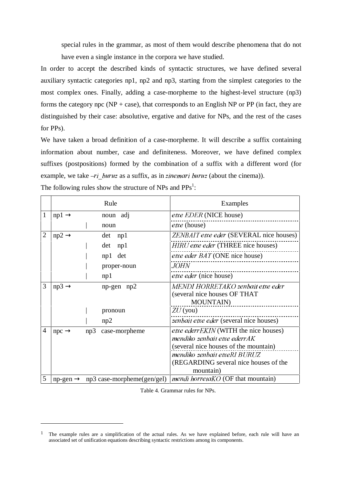special rules in the grammar, as most of them would describe phenomena that do not have even a single instance in the corpora we have studied.

In order to accept the described kinds of syntactic structures, we have defined several auxiliary syntactic categories np1, np2 and np3, starting from the simplest categories to the most complex ones. Finally, adding a case-morpheme to the highest-level structure (np3) forms the category npc ( $NP + case$ ), that corresponds to an English NP or PP (in fact, they are distinguished by their case: absolutive, ergative and dative for NPs, and the rest of the cases for PPs).

We have taken a broad definition of a case-morpheme. It will describe a suffix containing information about number, case and definiteness. Moreover, we have defined complex suffixes (postpositions) formed by the combination of a suffix with a different word (for example, we take  $-ri$  buruz as a suffix, as in zinemari buruz (about the cinema)).

|   |                          |     | Rule                                                 | Examples                                                                                                                                                                                             |
|---|--------------------------|-----|------------------------------------------------------|------------------------------------------------------------------------------------------------------------------------------------------------------------------------------------------------------|
| 1 | $np1 \rightarrow$        |     | noun adj                                             | etxe EDER (NICE house)                                                                                                                                                                               |
|   |                          |     | noun                                                 | <i>etxe</i> (house)                                                                                                                                                                                  |
| 2 | $np2 \rightarrow$        |     | det<br>np1                                           | <b>ZENBAIT</b> etxe eder (SEVERAL nice houses)                                                                                                                                                       |
|   |                          |     | det<br>np1                                           | HIRU etxe eder (THREE nice houses)                                                                                                                                                                   |
|   |                          |     | np1 det                                              | <i>etxe eder BAT</i> (ONE nice house)                                                                                                                                                                |
|   |                          |     | proper-noun                                          | <i>JOHN</i>                                                                                                                                                                                          |
|   |                          |     | np1                                                  | <i>etxe eder</i> (nice house)                                                                                                                                                                        |
| 3 | $np3 \rightarrow$        |     | $np$ -gen $np2$                                      | MENDI HORRETAKO zenbait etxe eder<br>(several nice houses OF THAT)<br><b>MOUNTAIN</b> )                                                                                                              |
|   |                          |     | pronoun                                              | $ZU$ (you)                                                                                                                                                                                           |
|   |                          |     | np2                                                  | zenbait etxe eder (several nice houses)                                                                                                                                                              |
| 4 | $\text{npc} \rightarrow$ | np3 | case-morpheme                                        | etxe ederrEKIN (WITH the nice houses)<br>mendiko zenbait etxe ederrAK<br>(several nice houses of the mountain)<br>mendiko zenbait etxeRI BURUZ<br>(REGARDING several nice houses of the<br>mountain) |
| 5 |                          |     | $np$ -gen $\rightarrow$ $np3$ case-morpheme(gen/gel) | <i>mendi horretaKO</i> (OF that mountain)                                                                                                                                                            |

The following rules show the structure of NPs and  $PPs^1$ :

 $\overline{a}$ 

Table 4. Grammar rules for NPs.

<sup>&</sup>lt;sup>1</sup> The example rules are a simplification of the actual rules. As we have explained before, each rule will have an associated set of unification equations describing syntactic restrictions among its components.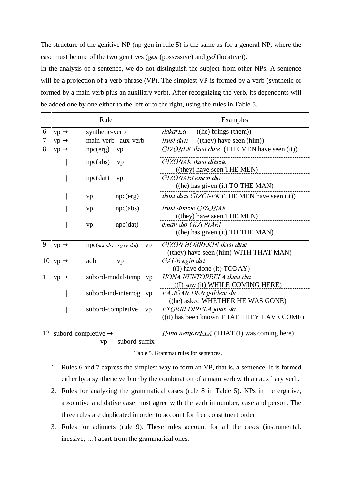The structure of the genitive NP (np-gen in rule 5) is the same as for a general NP, where the case must be one of the two genitives (gen (possessive) and gel (locative)).

In the analysis of a sentence, we do not distinguish the subject from other NPs. A sentence will be a projection of a verb-phrase (VP). The simplest VP is formed by a verb (synthetic or formed by a main verb plus an auxiliary verb). After recognizing the verb, its dependents will be added one by one either to the left or to the right, using the rules in Table 5.

|    | Rule                                                          | Examples                                                                            |
|----|---------------------------------------------------------------|-------------------------------------------------------------------------------------|
| 6  | synthetic-verb<br>$vp \rightarrow$                            | ((he) brings (them))<br>dakartza                                                    |
| 7  | main-verb aux-verb<br>$vp \rightarrow$                        | ((they) have seen (him))<br>ikusi dute                                              |
| 8  | npc(erg)<br>$vp \rightarrow$<br>vp                            | GIZONEK ikusi dute (THE MEN have seen (it))                                         |
|    | npc(abs)<br>vp                                                | GIZONAK ikusi dituzte                                                               |
|    | npc(data)<br>vp                                               | ((they) have seen THE MEN)<br>GIZONARI eman dio<br>((he) has given (it) TO THE MAN) |
|    | npc(erg)<br>vp                                                | <i>ikusi dute GIZONEK</i> (THE MEN have seen (it))                                  |
|    | npc(abs)<br>vp                                                | <i>ikusi dituzte GIZONAK</i><br>((they) have seen THE MEN)                          |
|    | npc(data)<br>vp                                               | eman dio GIZONARI<br>$($ (he) has given $($ it) TO THE MAN $)$                      |
| 9  | $vp \rightarrow$<br>npc(not abs, erg or dat)<br>vp            | <b>GIZON HORREKIN ikusi dute</b><br>((they) have seen (him) WITH THAT MAN)          |
|    | $10 \vert \text{vp} \rightarrow$<br>adb<br>vp                 | GAUR egin dut<br>$($ (I) have done $(it)$ TODAY $)$                                 |
|    | 11 $vp \rightarrow$<br>subord-modal-temp vp                   | HONA NENTORRELA ikusi dut<br>((I) saw (it) WHILE COMING HERE)                       |
|    | subord-ind-interrog. vp                                       | EA JOAN DEN galdetu du<br>((he) asked WHETHER HE WAS GONE)                          |
|    | subord-completive<br>vp                                       | ETORRI DIRELA jakin da<br>((it) has been known THAT THEY HAVE COME)                 |
| 12 | subord-completive $\rightarrow$<br>subord-suffix<br><b>VD</b> | Hona nentorrELA (THAT (I) was coming here)                                          |

Table 5. Grammar rules for sentences.

- 1. Rules 6 and 7 express the simplest way to form an VP, that is, a sentence. It is formed either by a synthetic verb or by the combination of a main verb with an auxiliary verb.
- 2. Rules for analyzing the grammatical cases (rule 8 in Table 5). NPs in the ergative, absolutive and dative case must agree with the verb in number, case and person. The three rules are duplicated in order to account for free constituent order.
- 3. Rules for adjuncts (rule 9). These rules account for all the cases (instrumental, inessive, …) apart from the grammatical ones.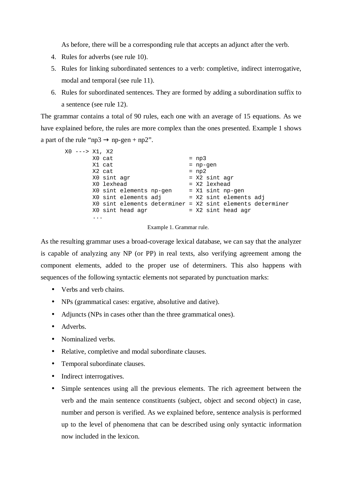As before, there will be a corresponding rule that accepts an adjunct after the verb.

- 4. Rules for adverbs (see rule 10).
- 5. Rules for linking subordinated sentences to a verb: completive, indirect interrogative, modal and temporal (see rule 11).
- 6. Rules for subordinated sentences. They are formed by adding a subordination suffix to a sentence (see rule 12).

The grammar contains a total of 90 rules, each one with an average of 15 equations. As we have explained before, the rules are more complex than the ones presented. Example 1 shows a part of the rule "np3  $\rightarrow$  np-gen + np2".

| x0 ---> x1. x2 |             |                         |                                                           |         |                           |                        |  |
|----------------|-------------|-------------------------|-----------------------------------------------------------|---------|---------------------------|------------------------|--|
|                | X0 cat      |                         |                                                           | $= np3$ |                           |                        |  |
|                | X1 cat      |                         |                                                           |         | $= np-qen$                |                        |  |
|                | X2 cat      |                         |                                                           | $= np2$ |                           |                        |  |
|                | X0 sint agr |                         |                                                           |         | $= X2 \sin t \text{ agr}$ |                        |  |
|                | X0 lexhead  |                         |                                                           |         | = X2 lexhead              |                        |  |
|                |             | X0 sint elements np-gen |                                                           |         |                           | = X1 sint np-gen       |  |
|                |             | XO sint elements adj    |                                                           |         |                           | = X2 sint elements adj |  |
|                |             |                         | X0 sint elements determiner = X2 sint elements determiner |         |                           |                        |  |
|                |             | X0 sint head agr        |                                                           |         |                           | $= X2 \sin t$ head agr |  |
|                |             |                         |                                                           |         |                           |                        |  |
|                |             |                         |                                                           |         |                           |                        |  |

Example 1. Grammar rule.

As the resulting grammar uses a broad-coverage lexical database, we can say that the analyzer is capable of analyzing any NP (or PP) in real texts, also verifying agreement among the component elements, added to the proper use of determiners. This also happens with sequences of the following syntactic elements not separated by punctuation marks:

- Verbs and verb chains.
- NPs (grammatical cases: ergative, absolutive and dative).
- Adjuncts (NPs in cases other than the three grammatical ones).
- Adverbs
- Nominalized verbs.
- Relative, completive and modal subordinate clauses.
- Temporal subordinate clauses.
- Indirect interrogatives.
- Simple sentences using all the previous elements. The rich agreement between the verb and the main sentence constituents (subject, object and second object) in case, number and person is verified. As we explained before, sentence analysis is performed up to the level of phenomena that can be described using only syntactic information now included in the lexicon.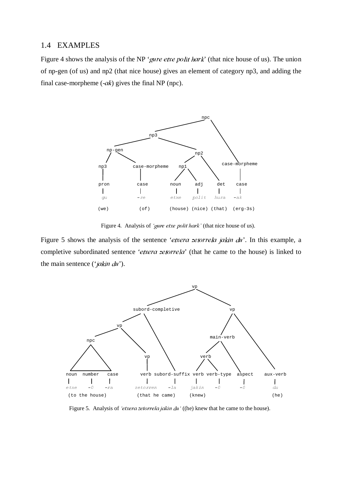#### 1.4 EXAMPLES

Figure 4 shows the analysis of the NP 'gure etxe polit hark' (that nice house of us). The union of np-gen (of us) and np2 (that nice house) gives an element of category np3, and adding the final case-morpheme  $(-ak)$  gives the final NP (npc).



Figure 4. Analysis of 'gure etxe polit hark' (that nice house of us).

Figure 5 shows the analysis of the sentence 'etxera zetorrela jakin du'. In this example, a completive subordinated sentence 'etxera zetorrela' (that he came to the house) is linked to the main sentence ( $'jakin\,du'$ ).



Figure 5. Analysis of 'etxera zetorrela jakin du' ((he) knew that he came to the house).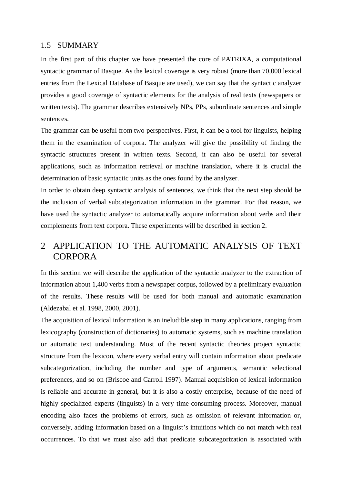#### 1.5 SUMMARY

In the first part of this chapter we have presented the core of PATRIXA, a computational syntactic grammar of Basque. As the lexical coverage is very robust (more than 70,000 lexical entries from the Lexical Database of Basque are used), we can say that the syntactic analyzer provides a good coverage of syntactic elements for the analysis of real texts (newspapers or written texts). The grammar describes extensively NPs, PPs, subordinate sentences and simple sentences.

The grammar can be useful from two perspectives. First, it can be a tool for linguists, helping them in the examination of corpora. The analyzer will give the possibility of finding the syntactic structures present in written texts. Second, it can also be useful for several applications, such as information retrieval or machine translation, where it is crucial the determination of basic syntactic units as the ones found by the analyzer.

In order to obtain deep syntactic analysis of sentences, we think that the next step should be the inclusion of verbal subcategorization information in the grammar. For that reason, we have used the syntactic analyzer to automatically acquire information about verbs and their complements from text corpora. These experiments will be described in section 2.

# 2 APPLICATION TO THE AUTOMATIC ANALYSIS OF TEXT **CORPORA**

In this section we will describe the application of the syntactic analyzer to the extraction of information about 1,400 verbs from a newspaper corpus, followed by a preliminary evaluation of the results. These results will be used for both manual and automatic examination (Aldezabal et al. 1998, 2000, 2001).

The acquisition of lexical information is an ineludible step in many applications, ranging from lexicography (construction of dictionaries) to automatic systems, such as machine translation or automatic text understanding. Most of the recent syntactic theories project syntactic structure from the lexicon, where every verbal entry will contain information about predicate subcategorization, including the number and type of arguments, semantic selectional preferences, and so on (Briscoe and Carroll 1997). Manual acquisition of lexical information is reliable and accurate in general, but it is also a costly enterprise, because of the need of highly specialized experts (linguists) in a very time-consuming process. Moreover, manual encoding also faces the problems of errors, such as omission of relevant information or, conversely, adding information based on a linguist's intuitions which do not match with real occurrences. To that we must also add that predicate subcategorization is associated with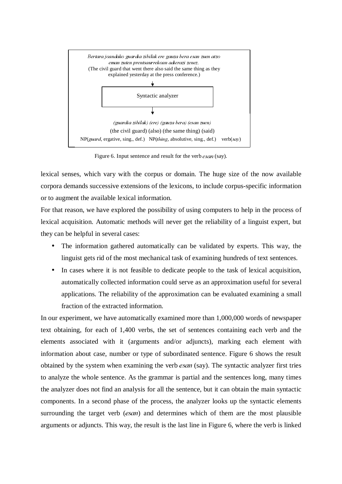

Figure 6. Input sentence and result for the verb *esan* (say).

lexical senses, which vary with the corpus or domain. The huge size of the now available corpora demands successive extensions of the lexicons, to include corpus-specific information or to augment the available lexical information.

For that reason, we have explored the possibility of using computers to help in the process of lexical acquisition. Automatic methods will never get the reliability of a linguist expert, but they can be helpful in several cases:

- The information gathered automatically can be validated by experts. This way, the linguist gets rid of the most mechanical task of examining hundreds of text sentences.
- In cases where it is not feasible to dedicate people to the task of lexical acquisition, automatically collected information could serve as an approximation useful for several applications. The reliability of the approximation can be evaluated examining a small fraction of the extracted information.

In our experiment, we have automatically examined more than 1,000,000 words of newspaper text obtaining, for each of 1,400 verbs, the set of sentences containing each verb and the elements associated with it (arguments and/or adjuncts), marking each element with information about case, number or type of subordinated sentence. Figure 6 shows the result obtained by the system when examining the verb  $esan$  (say). The syntactic analyzer first tries to analyze the whole sentence. As the grammar is partial and the sentences long, many times the analyzer does not find an analysis for all the sentence, but it can obtain the main syntactic components. In a second phase of the process, the analyzer looks up the syntactic elements surrounding the target verb  $(e \sin \theta)$  and determines which of them are the most plausible arguments or adjuncts. This way, the result is the last line in Figure 6, where the verb is linked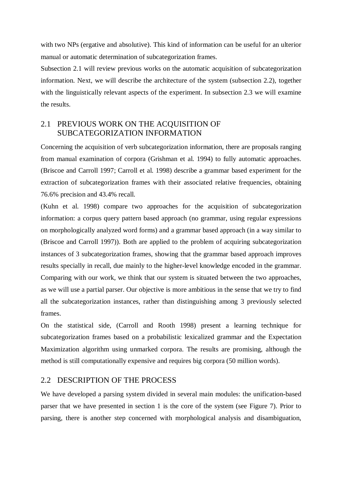with two NPs (ergative and absolutive). This kind of information can be useful for an ulterior manual or automatic determination of subcategorization frames.

Subsection 2.1 will review previous works on the automatic acquisition of subcategorization information. Next, we will describe the architecture of the system (subsection 2.2), together with the linguistically relevant aspects of the experiment. In subsection 2.3 we will examine the results.

## 2.1 PREVIOUS WORK ON THE ACQUISITION OF SUBCATEGORIZATION INFORMATION

Concerning the acquisition of verb subcategorization information, there are proposals ranging from manual examination of corpora (Grishman et al. 1994) to fully automatic approaches. (Briscoe and Carroll 1997; Carroll et al. 1998) describe a grammar based experiment for the extraction of subcategorization frames with their associated relative frequencies, obtaining 76.6% precision and 43.4% recall.

(Kuhn et al. 1998) compare two approaches for the acquisition of subcategorization information: a corpus query pattern based approach (no grammar, using regular expressions on morphologically analyzed word forms) and a grammar based approach (in a way similar to (Briscoe and Carroll 1997)). Both are applied to the problem of acquiring subcategorization instances of 3 subcategorization frames, showing that the grammar based approach improves results specially in recall, due mainly to the higher-level knowledge encoded in the grammar. Comparing with our work, we think that our system is situated between the two approaches, as we will use a partial parser. Our objective is more ambitious in the sense that we try to find all the subcategorization instances, rather than distinguishing among 3 previously selected frames.

On the statistical side, (Carroll and Rooth 1998) present a learning technique for subcategorization frames based on a probabilistic lexicalized grammar and the Expectation Maximization algorithm using unmarked corpora. The results are promising, although the method is still computationally expensive and requires big corpora (50 million words).

#### 2.2 DESCRIPTION OF THE PROCESS

We have developed a parsing system divided in several main modules: the unification-based parser that we have presented in section 1 is the core of the system (see Figure 7). Prior to parsing, there is another step concerned with morphological analysis and disambiguation,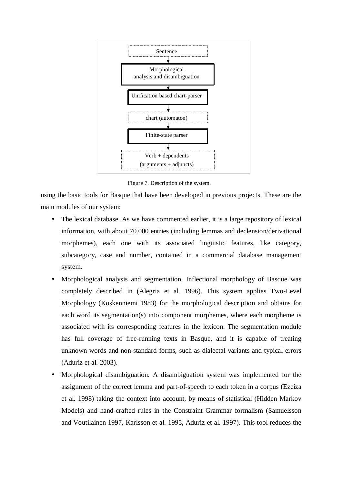

Figure 7. Description of the system.

using the basic tools for Basque that have been developed in previous projects. These are the main modules of our system:

- The lexical database. As we have commented earlier, it is a large repository of lexical information, with about 70.000 entries (including lemmas and declension/derivational morphemes), each one with its associated linguistic features, like category, subcategory, case and number, contained in a commercial database management system.
- Morphological analysis and segmentation. Inflectional morphology of Basque was completely described in (Alegria et al. 1996). This system applies Two-Level Morphology (Koskenniemi 1983) for the morphological description and obtains for each word its segmentation(s) into component morphemes, where each morpheme is associated with its corresponding features in the lexicon. The segmentation module has full coverage of free-running texts in Basque, and it is capable of treating unknown words and non-standard forms, such as dialectal variants and typical errors (Aduriz et al. 2003).
- Morphological disambiguation. A disambiguation system was implemented for the assignment of the correct lemma and part-of-speech to each token in a corpus (Ezeiza et al. 1998) taking the context into account, by means of statistical (Hidden Markov Models) and hand-crafted rules in the Constraint Grammar formalism (Samuelsson and Voutilainen 1997, Karlsson et al. 1995, Aduriz et al. 1997). This tool reduces the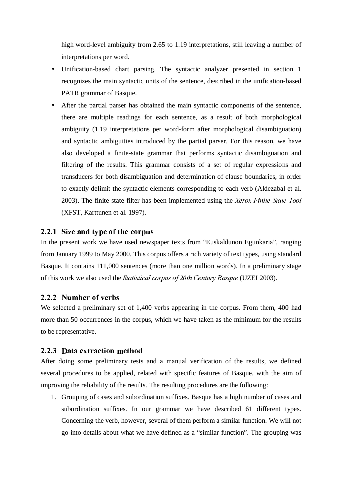high word-level ambiguity from 2.65 to 1.19 interpretations, still leaving a number of interpretations per word.

- Unification-based chart parsing. The syntactic analyzer presented in section 1 recognizes the main syntactic units of the sentence, described in the unification-based PATR grammar of Basque.
- After the partial parser has obtained the main syntactic components of the sentence, there are multiple readings for each sentence, as a result of both morphological ambiguity (1.19 interpretations per word-form after morphological disambiguation) and syntactic ambiguities introduced by the partial parser. For this reason, we have also developed a finite-state grammar that performs syntactic disambiguation and filtering of the results. This grammar consists of a set of regular expressions and transducers for both disambiguation and determination of clause boundaries, in order to exactly delimit the syntactic elements corresponding to each verb (Aldezabal et al. 2003). The finite state filter has been implemented using the Xerox Finite State Tool (XFST, Karttunen et al. 1997).

#### 2.2.1 Size and type of the corpus

In the present work we have used newspaper texts from "Euskaldunon Egunkaria", ranging from January 1999 to May 2000. This corpus offers a rich variety of text types, using standard Basque. It contains 111,000 sentences (more than one million words). In a preliminary stage of this work we also used the *Statistical corpus of 20th Century Basque* (UZEI 2003).

#### 2.2.2 Number of verbs

We selected a preliminary set of 1,400 verbs appearing in the corpus. From them, 400 had more than 50 occurrences in the corpus, which we have taken as the minimum for the results to be representative.

#### 2.2.3 Data extraction method

After doing some preliminary tests and a manual verification of the results, we defined several procedures to be applied, related with specific features of Basque, with the aim of improving the reliability of the results. The resulting procedures are the following:

1. Grouping of cases and subordination suffixes. Basque has a high number of cases and subordination suffixes. In our grammar we have described 61 different types. Concerning the verb, however, several of them perform a similar function. We will not go into details about what we have defined as a "similar function". The grouping was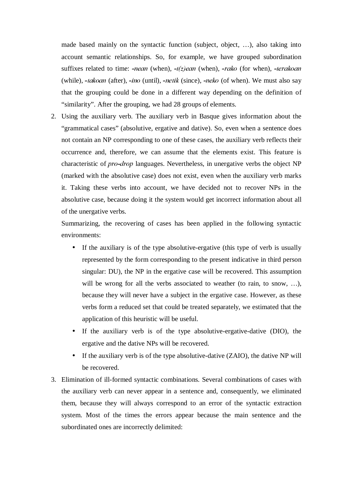made based mainly on the syntactic function (subject, object, …), also taking into account semantic relationships. So, for example, we have grouped subordination suffixes related to time: *-nean* (when),  $-t(z)$ *ean* (when), *-rako* (for when), *-terakoan* (while),  $\text{-}takoan$  (after),  $\text{-}ino$  (until),  $\text{-}netik$  (since),  $\text{-}neko$  (of when). We must also say that the grouping could be done in a different way depending on the definition of "similarity". After the grouping, we had 28 groups of elements.

2. Using the auxiliary verb. The auxiliary verb in Basque gives information about the "grammatical cases" (absolutive, ergative and dative). So, even when a sentence does not contain an NP corresponding to one of these cases, the auxiliary verb reflects their occurrence and, therefore, we can assume that the elements exist. This feature is characteristic of *pro-drop* languages. Nevertheless, in unergative verbs the object NP (marked with the absolutive case) does not exist, even when the auxiliary verb marks it. Taking these verbs into account, we have decided not to recover NPs in the absolutive case, because doing it the system would get incorrect information about all of the unergative verbs.

Summarizing, the recovering of cases has been applied in the following syntactic environments:

- If the auxiliary is of the type absolutive-ergative (this type of verb is usually represented by the form corresponding to the present indicative in third person singular: DU), the NP in the ergative case will be recovered. This assumption will be wrong for all the verbs associated to weather (to rain, to snow, ...), because they will never have a subject in the ergative case. However, as these verbs form a reduced set that could be treated separately, we estimated that the application of this heuristic will be useful.
- If the auxiliary verb is of the type absolutive-ergative-dative (DIO), the ergative and the dative NPs will be recovered.
- If the auxiliary verb is of the type absolutive-dative (ZAIO), the dative NP will be recovered.
- 3. Elimination of ill-formed syntactic combinations. Several combinations of cases with the auxiliary verb can never appear in a sentence and, consequently, we eliminated them, because they will always correspond to an error of the syntactic extraction system. Most of the times the errors appear because the main sentence and the subordinated ones are incorrectly delimited: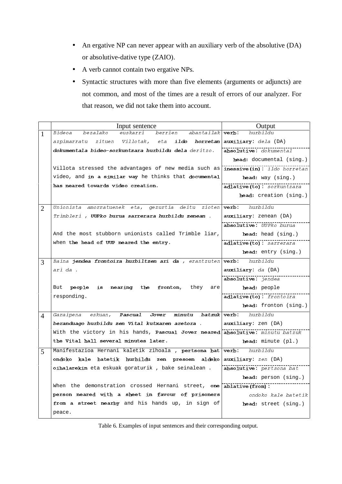- An ergative NP can never appear with an auxiliary verb of the absolutive (DA) or absolutive-dative type (ZAIO).
- A verb cannot contain two ergative NPs.
- Syntactic structures with more than five elements (arguments or adjuncts) are not common, and most of the times are a result of errors of our analyzer. For that reason, we did not take them into account.

|   | Input sentence                                                         | Output                                |
|---|------------------------------------------------------------------------|---------------------------------------|
| 1 | berrien<br>Bideoa<br>bezalako<br>euskarri<br>abantailak   <b>verb:</b> | hurbildu                              |
|   | azpimarratu zituen Villotak, eta<br>ildo<br>horretan                   | auxiliary: dela (DA)                  |
|   | dokumentala bideo-sorkuntzara hurbildu dela deritzo.                   | absolutive: dokumental                |
|   |                                                                        | head: documental (sing.)              |
|   | Villota stressed the advantages of new media such as                   | $i$ nessive $(in)$ : $i$ ldo horretan |
|   | video, and in a similar way he thinks that documental                  | $head:$ way $(sing.)$                 |
|   | has neared towards video creation.                                     | adlative(to): sorkuntzara             |
|   |                                                                        | head: creation (sing.)                |
| 2 | Unionista amorratuenek eta, gezurtia deitu zioten $verb$ :             | hurbildu                              |
|   | Trimbleri , <b>UUPko burua sarrerara hurbildu zenean</b> .             | auxiliary: zenean (DA)                |
|   |                                                                        | absolutive: UUPko burua               |
|   | And the most stubborn unionists called Trimble liar,                   | head: head (sing.)                    |
|   | when the head of UUP neared the entry.                                 | adlative(to): sarrerara               |
|   |                                                                        | head: entry (sing.)                   |
| 3 | Baina jendea frontoira hurbiltzen ari da , erantzuten verb:            | hurbildu                              |
|   | ari da .                                                               | auxiliary: da (DA)                    |
|   |                                                                        | absolutive: jendea                    |
|   | nearing the fronton, they<br>But people is<br>are                      | head: people                          |
|   | responding.                                                            | adlative(to): frontoira               |
|   |                                                                        | head: fronton (sing.)                 |
| 4 | Garaipena eskuan, Pascual Jover minutu batzuk verb: hurbildu           |                                       |
|   | beranduago hurbildu zen Vital kutxaren aretora .                       | auxiliary: zen (DA)                   |
|   | With the victory in his hands, Pascual Jover neared                    | absolutive: minutu batzuk             |
|   | the Vital hall several minutes later.                                  | head: minute (pl.)                    |
| 5 | Manifestazioa Hernani kaletik zihoala , pertsona bat                   | verb:<br>hurbildu                     |
|   | ondoko kale batetik hurbildu zen presoen aldeko                        | auxiliary: zen (DA)                   |
|   | oihalarekin eta eskuak goraturik, bake seinalean.                      | absolutive: pertsona bat              |
|   |                                                                        | head: person (sing.)                  |
|   | When the demonstration crossed Hernani street, one ablative (from):    |                                       |
|   | person neared with a sheet in favour of prisoners                      | ondoko kale batetik                   |
|   | from a street nearby and his hands up, in sign of                      | head: street (sing.)                  |
|   | peace.                                                                 |                                       |

Table 6. Examples of input sentences and their corresponding output.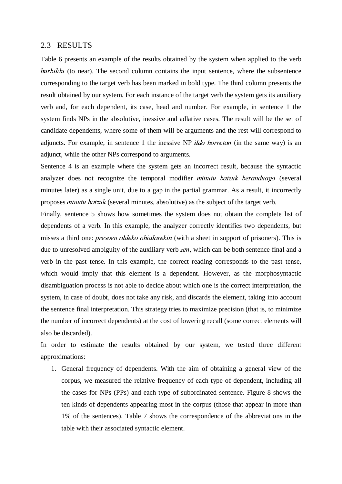#### 2.3 RESULTS

Table 6 presents an example of the results obtained by the system when applied to the verb  $hurbildu$  (to near). The second column contains the input sentence, where the subsentence corresponding to the target verb has been marked in bold type. The third column presents the result obtained by our system. For each instance of the target verb the system gets its auxiliary verb and, for each dependent, its case, head and number. For example, in sentence 1 the system finds NPs in the absolutive, inessive and adlative cases. The result will be the set of candidate dependents, where some of them will be arguments and the rest will correspond to adjuncts. For example, in sentence 1 the inessive NP  $ildo$  horretan (in the same way) is an adjunct, while the other NPs correspond to arguments.

Sentence 4 is an example where the system gets an incorrect result, because the syntactic analyzer does not recognize the temporal modifier *minutu batzuk beranduago* (several minutes later) as a single unit, due to a gap in the partial grammar. As a result, it incorrectly proposes *minutu batzuk* (several minutes, absolutive) as the subject of the target verb.

Finally, sentence 5 shows how sometimes the system does not obtain the complete list of dependents of a verb. In this example, the analyzer correctly identifies two dependents, but misses a third one: *presoen aldeko ohialarekin* (with a sheet in support of prisoners). This is due to unresolved ambiguity of the auxiliary verb *zen*, which can be both sentence final and a verb in the past tense. In this example, the correct reading corresponds to the past tense, which would imply that this element is a dependent. However, as the morphosyntactic disambiguation process is not able to decide about which one is the correct interpretation, the system, in case of doubt, does not take any risk, and discards the element, taking into account the sentence final interpretation. This strategy tries to maximize precision (that is, to minimize the number of incorrect dependents) at the cost of lowering recall (some correct elements will also be discarded).

In order to estimate the results obtained by our system, we tested three different approximations:

1. General frequency of dependents. With the aim of obtaining a general view of the corpus, we measured the relative frequency of each type of dependent, including all the cases for NPs (PPs) and each type of subordinated sentence. Figure 8 shows the ten kinds of dependents appearing most in the corpus (those that appear in more than 1% of the sentences). Table 7 shows the correspondence of the abbreviations in the table with their associated syntactic element.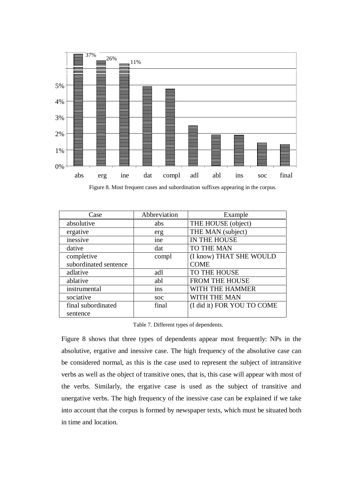

Figure 8. Most frequent cases and subordination suffixes appearing in the corpus.

| Case                  | Abbreviation | Example                    |
|-----------------------|--------------|----------------------------|
| absolutive            | abs          | THE HOUSE (object)         |
| ergative              | erg          | THE MAN (subject)          |
| inessive              | ine          | IN THE HOUSE               |
| dative                | dat          | TO THE MAN                 |
| completive            | compl        | (I know) THAT SHE WOULD    |
| subordinated sentence |              | <b>COME</b>                |
| adlative              | adl          | TO THE HOUSE               |
| ablative              | abl          | FROM THE HOUSE             |
| instrumental          | ins          | WITH THE HAMMER            |
| sociative             | <b>SOC</b>   | WITH THE MAN               |
| final subordinated    | final        | (I did it) FOR YOU TO COME |
| sentence              |              |                            |

Table 7. Different types of dependents.

Figure 8 shows that three types of dependents appear most frequently: NPs in the absolutive, ergative and inessive case. The high frequency of the absolutive case can be considered normal, as this is the case used to represent the subject of intransitive verbs as well as the object of transitive ones, that is, this case will appear with most of the verbs. Similarly, the ergative case is used as the subject of transitive and unergative verbs. The high frequency of the inessive case can be explained if we take into account that the corpus is formed by newspaper texts, which must be situated both in time and location.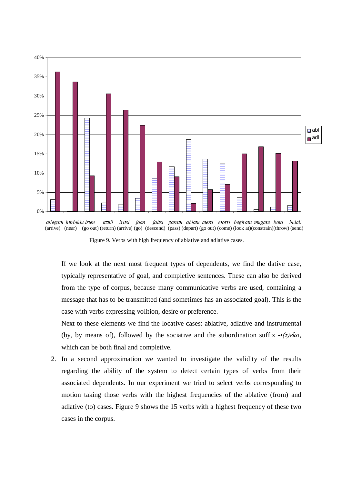

hidali  $\lim_{x \to \infty}$  (near) (go out) (return) (arrive) (go) (descend) (pass) (depart) (go out) (come) (look at)(constrain)(throw) (send)

Figure 9. Verbs with high frequency of ablative and adlative cases.

If we look at the next most frequent types of dependents, we find the dative case, typically representative of goal, and completive sentences. These can also be derived from the type of corpus, because many communicative verbs are used, containing a message that has to be transmitted (and sometimes has an associated goal). This is the case with verbs expressing volition, desire or preference.

Next to these elements we find the locative cases: ablative, adlative and instrumental (by, by means of), followed by the sociative and the subordination suffix  $-t(z)$  eko, which can be both final and completive.

2. In a second approximation we wanted to investigate the validity of the results regarding the ability of the system to detect certain types of verbs from their associated dependents. In our experiment we tried to select verbs corresponding to motion taking those verbs with the highest frequencies of the ablative (from) and adlative (to) cases. Figure 9 shows the 15 verbs with a highest frequency of these two cases in the corpus.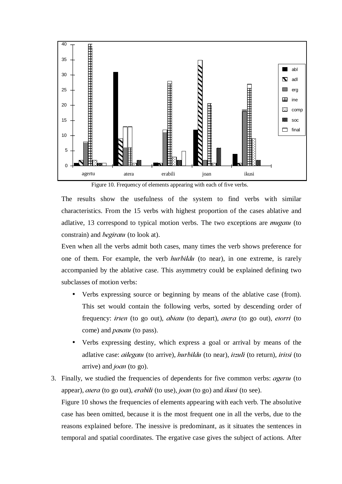

Figure 10. Frequency of elements appearing with each of five verbs.

The results show the usefulness of the system to find verbs with similar characteristics. From the 15 verbs with highest proportion of the cases ablative and adlative, 13 correspond to typical motion verbs. The two exceptions are  $mugatu$  (to constrain) and *begiratu* (to look at).

Even when all the verbs admit both cases, many times the verb shows preference for one of them. For example, the verb *hurbildu* (to near), in one extreme, is rarely accompanied by the ablative case. This asymmetry could be explained defining two subclasses of motion verbs:

- Verbs expressing source or beginning by means of the ablative case (from). This set would contain the following verbs, sorted by descending order of frequency: irten (to go out), abiatu (to depart), atera (to go out), etorri (to come) and *pasatu* (to pass).
- Verbs expressing destiny, which express a goal or arrival by means of the adlative case: ailegatu (to arrive), hurbildu (to near), itzuli (to return), iritsi (to arrive) and  $\text{joan}$  (to go).
- 3. Finally, we studied the frequencies of dependents for five common verbs: *agertu* (to appear), atera (to go out), erabili (to use), joan (to go) and ikusi (to see). Figure 10 shows the frequencies of elements appearing with each verb. The absolutive case has been omitted, because it is the most frequent one in all the verbs, due to the reasons explained before. The inessive is predominant, as it situates the sentences in

temporal and spatial coordinates. The ergative case gives the subject of actions. After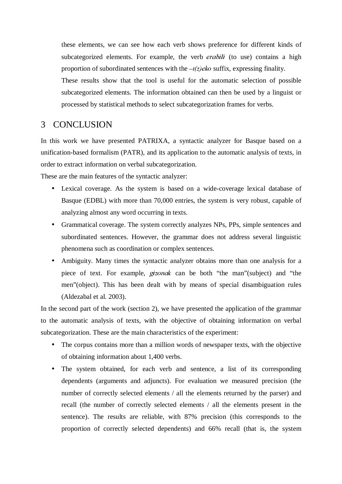these elements, we can see how each verb shows preference for different kinds of subcategorized elements. For example, the verb *erabili* (to use) contains a high proportion of subordinated sentences with the  $-t(z)$  eko suffix, expressing finality.

These results show that the tool is useful for the automatic selection of possible subcategorized elements. The information obtained can then be used by a linguist or processed by statistical methods to select subcategorization frames for verbs.

# 3 CONCLUSION

In this work we have presented PATRIXA, a syntactic analyzer for Basque based on a unification-based formalism (PATR), and its application to the automatic analysis of texts, in order to extract information on verbal subcategorization.

These are the main features of the syntactic analyzer:

- Lexical coverage. As the system is based on a wide-coverage lexical database of Basque (EDBL) with more than 70,000 entries, the system is very robust, capable of analyzing almost any word occurring in texts.
- Grammatical coverage. The system correctly analyzes NPs, PPs, simple sentences and subordinated sentences. However, the grammar does not address several linguistic phenomena such as coordination or complex sentences.
- Ambiguity. Many times the syntactic analyzer obtains more than one analysis for a piece of text. For example, *gizonak* can be both "the man"(subject) and "the men"(object). This has been dealt with by means of special disambiguation rules (Aldezabal et al. 2003).

In the second part of the work (section 2), we have presented the application of the grammar to the automatic analysis of texts, with the objective of obtaining information on verbal subcategorization. These are the main characteristics of the experiment:

- The corpus contains more than a million words of newspaper texts, with the objective of obtaining information about 1,400 verbs.
- The system obtained, for each verb and sentence, a list of its corresponding dependents (arguments and adjuncts). For evaluation we measured precision (the number of correctly selected elements / all the elements returned by the parser) and recall (the number of correctly selected elements / all the elements present in the sentence). The results are reliable, with 87% precision (this corresponds to the proportion of correctly selected dependents) and 66% recall (that is, the system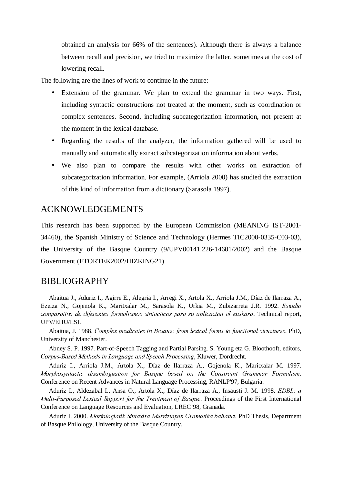obtained an analysis for 66% of the sentences). Although there is always a balance between recall and precision, we tried to maximize the latter, sometimes at the cost of lowering recall.

The following are the lines of work to continue in the future:

- Extension of the grammar. We plan to extend the grammar in two ways. First, including syntactic constructions not treated at the moment, such as coordination or complex sentences. Second, including subcategorization information, not present at the moment in the lexical database.
- Regarding the results of the analyzer, the information gathered will be used to manually and automatically extract subcategorization information about verbs.
- We also plan to compare the results with other works on extraction of subcategorization information. For example, (Arriola 2000) has studied the extraction of this kind of information from a dictionary (Sarasola 1997).

## ACKNOWLEDGEMENTS

This research has been supported by the European Commission (MEANING IST-2001- 34460), the Spanish Ministry of Science and Technology (Hermes TIC2000-0335-C03-03), the University of the Basque Country (9/UPV00141.226-14601/2002) and the Basque Government (ETORTEK2002/HIZKING21).

## BIBLIOGRAPHY

Abaitua J., Aduriz I., Agirre E., Alegria I., Arregi X., Artola X., Arriola J.M., Díaz de Ilarraza A., Ezeiza N., Gojenola K., Maritxalar M., Sarasola K., Urkia M., Zubizarreta J.R. 1992. Estudio comparativo de diferentes formalismos sintacticos para su aplicacion al euskara. Technical report, UPV/EHU/LSI.

Abaitua, J. 1988. Complex predicates in Basque: from lexical forms to functional structures. PhD, University of Manchester.

Abney S. P. 1997. Part-of-Speech Tagging and Partial Parsing. S. Young eta G. Bloothooft, editors, Corpus-Based Methods in Language and Speech Processing, Kluwer, Dordrecht.

Aduriz I., Arriola J.M., Artola X., Díaz de Ilarraza A., Gojenola K., Maritxalar M. 1997. Morphosyntactic disambiguation for Basque based on the Constraint Grammar Formalism. Conference on Recent Advances in Natural Language Processing, RANLP'97, Bulgaria.

Aduriz I., Aldezabal I., Ansa O., Artola X., Díaz de Ilarraza A., Insausti J. M. 1998. EDBL: a Multi-Purposed Lexical Support for the Treatment of Basque. Proceedings of the First International Conference on Language Resources and Evaluation, LREC'98, Granada.

Aduriz I. 2000. Morfologiatik Sintaxira Murriztapen Gramatika baliatuz. PhD Thesis, Department of Basque Philology, University of the Basque Country.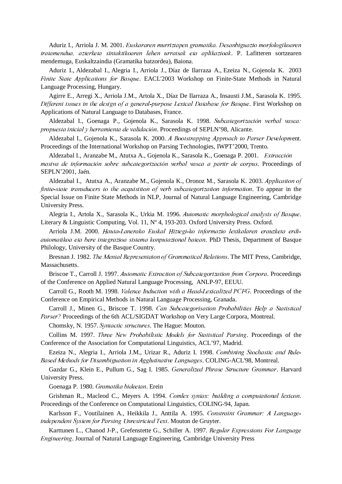Aduriz I., Arriola J. M. 2001. Euskararen murriztapen gramatika. Desanbiguazio morfologikoaren tratamendua, azterketa sintaktikoaren lehen urratsak eta aplikazioak. P. Lafitteren sortzearen mendemuga, Euskaltzaindia (Gramatika batzordea), Baiona.

Aduriz I., Aldezabal I., Alegria I., Arriola J., Díaz de Ilarraza A., Ezeiza N., Gojenola K. 2003 Finite State Applications for Basque. EACL'2003 Workshop on Finite-State Methods in Natural Language Processing, Hungary.

Agirre E., Arregi X., Arriola J.M., Artola X., Díaz De Ilarraza A., Insausti J.M., Sarasola K. 1995. Different issues in the design of a general-purpose Lexical Database for Basque. First Workshop on Applications of Natural Language to Databases, France.

Aldezabal I., Goenaga P., Gojenola K., Sarasola K. 1998. Subcategorización verbal vasca: propuesta inicial y herramienta de validación. Proceedings of SEPLN'98, Alicante.

Aldezabal I., Gojenola K., Sarasola K. 2000. A Bootstrapping Approach to Parser Development. Proceedings of the International Workshop on Parsing Technologies, IWPT'2000, Trento.

Aldezabal I., Aranzabe M., Atutxa A., Gojenola K., Sarasola K., Goenaga P. 2001. Extracción masiva de información sobre subcategorización verbal vasca a partir de corpus. Proceedings of SEPLN'2001, Jaén.

Aldezabal I., Atutxa A., Aranzabe M., Gojenola K., Oronoz M., Sarasola K. 2003. Application of finite-state transducers to the acquisition of verb subcategorization information. To appear in the Special Issue on Finite State Methods in NLP, Journal of Natural Language Engineering, Cambridge University Press.

Alegria I., Artola X., Sarasola K., Urkia M. 1996. Automatic morphological analysis of Basque. Literary & Linguistic Computing, Vol. 11, Nº 4, 193-203. Oxford University Press. Oxford.

Arriola J.M. 2000. Hauta-Lanerako Euskal Hiztegi-ko informazio lexikalaren erauzketa erdiautomatikoa eta bere integrazioa sistema konputazional batean. PhD Thesis, Department of Basque Philology, University of the Basque Country.

Bresnan J. 1982. The Mental Representaion of Grammatical Relations. The MIT Press, Cambridge, Massachusetts.

Briscoe T., Carroll J. 1997. Automatic Extraction of Subcategorization from Corpora. Proceedings of the Conference on Applied Natural Language Processing, ANLP-97, EEUU.

Carroll G., Rooth M. 1998. Valence Induction with a Head-Lexicalized PCFG. Proceedings of the Conference on Empirical Methods in Natural Language Processing, Granada.

Carroll J., Minen G., Briscoe T. 1998. Can Subcategorisation Probabilities Help a Statistical Parser? Proceedings of the 6th ACL/SIGDAT Workshop on Very Large Corpora, Montreal.

Chomsky, N. 1957. Syntactic structures. The Hague: Mouton.

Collins M. 1997. Three New Probabilistic Models for Statistical Parsing. Proceedings of the Conference of the Association for Computational Linguistics, ACL'97, Madrid.

Ezeiza N., Alegria I., Arriola J.M., Urizar R., Aduriz I. 1998. Combining Stochastic and Rule-Based Methods for Disambiguation in Agglutinative Languages. COLING-ACL'98, Montreal.

Gazdar G., Klein E., Pullum G., Sag I. 1985. Generalized Phrase Structure Grammar. Harvard University Press.

Goenaga P. 1980. Gramatika bideetan. Erein

Grishman R., Macleod C., Meyers A. 1994. Comlex syntax: building a computational lexicon. Proceedings of the Conference on Computational Linguistics, COLING-94, Japan.

Karlsson F., Voutilainen A., Heikkila J., Anttila A. 1995. Constraint Grammar: A Languageindependent System for Parsing Unrestricted Text. Mouton de Gruyter.

Karttunen L., Chanod J-P., Grefenstette G., Schiller A. 1997. Regular Expressions For Language Engineering. Journal of Natural Language Engineering, Cambridge University Press